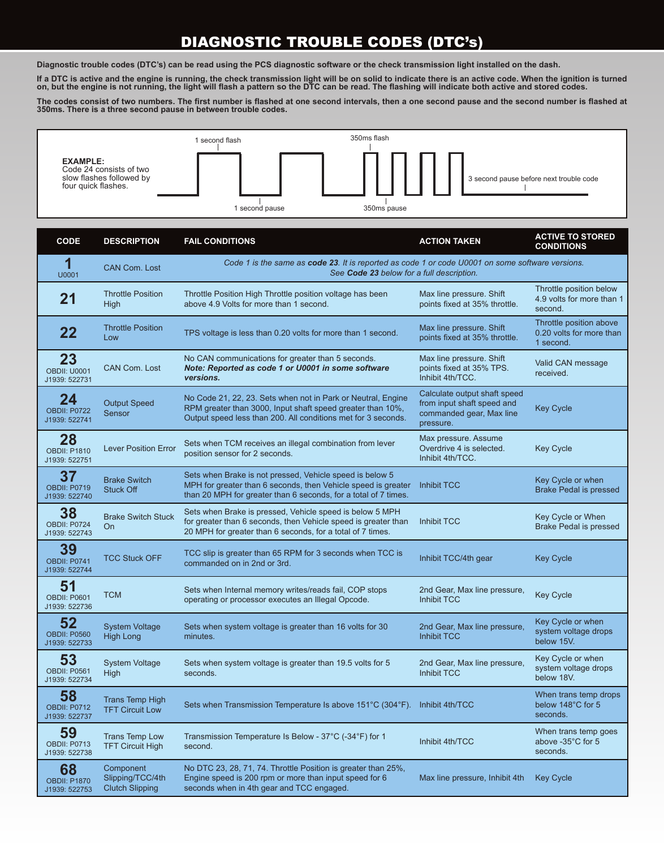## DIAGNOSTIC TROUBLE CODES (DTC's)

**Diagnostic trouble codes (DTC's) can be read using the PCS diagnostic software or the check transmission light installed on the dash.** 

**If a DTC is active and the engine is running, the check transmission light will be on solid to indicate there is an active code. When the ignition is turned on, but the engine is not running, the light will flash a pattern so the DTC can be read. The flashing will indicate both active and stored codes.**

**The codes consist of two numbers. The first number is flashed at one second intervals, then a one second pause and the second number is flashed at 350ms. There is a three second pause in between trouble codes.** 



| <b>CODE</b>                                | <b>DESCRIPTION</b>                                      | <b>FAIL CONDITIONS</b>                                                                                                                                                                       | <b>ACTION TAKEN</b>                                                                                 | <b>ACTIVE TO STORED</b><br><b>CONDITIONS</b>                     |  |
|--------------------------------------------|---------------------------------------------------------|----------------------------------------------------------------------------------------------------------------------------------------------------------------------------------------------|-----------------------------------------------------------------------------------------------------|------------------------------------------------------------------|--|
| 1<br>U0001                                 | <b>CAN Com. Lost</b>                                    | Code 1 is the same as code 23. It is reported as code 1 or code U0001 on some software versions.<br>See Code 23 below for a full description.                                                |                                                                                                     |                                                                  |  |
| 21                                         | <b>Throttle Position</b><br><b>High</b>                 | Throttle Position High Throttle position voltage has been<br>above 4.9 Volts for more than 1 second.                                                                                         | Max line pressure. Shift<br>points fixed at 35% throttle.                                           | Throttle position below<br>4.9 volts for more than 1<br>second.  |  |
| 22                                         | <b>Throttle Position</b><br>Low                         | TPS voltage is less than 0.20 volts for more than 1 second.                                                                                                                                  | Max line pressure. Shift<br>points fixed at 35% throttle.                                           | Throttle position above<br>0.20 volts for more than<br>1 second. |  |
| 23<br><b>OBDII: U0001</b><br>J1939: 522731 | <b>CAN Com. Lost</b>                                    | No CAN communications for greater than 5 seconds.<br>Note: Reported as code 1 or U0001 in some software<br>versions.                                                                         | Max line pressure. Shift<br>points fixed at 35% TPS.<br>Inhibit 4th/TCC.                            | Valid CAN message<br>received.                                   |  |
| 24<br>OBDII: P0722<br>J1939: 522741        | <b>Output Speed</b><br>Sensor                           | No Code 21, 22, 23. Sets when not in Park or Neutral, Engine<br>RPM greater than 3000, Input shaft speed greater than 10%,<br>Output speed less than 200. All conditions met for 3 seconds.  | Calculate output shaft speed<br>from input shaft speed and<br>commanded gear, Max line<br>pressure. | <b>Key Cycle</b>                                                 |  |
| 28<br><b>OBDII: P1810</b><br>J1939: 522751 | <b>Lever Position Error</b>                             | Sets when TCM receives an illegal combination from lever<br>position sensor for 2 seconds.                                                                                                   | Max pressure. Assume<br>Overdrive 4 is selected.<br>Inhibit 4th/TCC.                                | <b>Key Cycle</b>                                                 |  |
| 37<br><b>OBDII: P0719</b><br>J1939: 522740 | <b>Brake Switch</b><br><b>Stuck Off</b>                 | Sets when Brake is not pressed, Vehicle speed is below 5<br>MPH for greater than 6 seconds, then Vehicle speed is greater<br>than 20 MPH for greater than 6 seconds, for a total of 7 times. | <b>Inhibit TCC</b>                                                                                  | Key Cycle or when<br><b>Brake Pedal is pressed</b>               |  |
| 38<br>OBDII: P0724<br>J1939: 522743        | <b>Brake Switch Stuck</b><br>On                         | Sets when Brake is pressed, Vehicle speed is below 5 MPH<br>for greater than 6 seconds, then Vehicle speed is greater than<br>20 MPH for greater than 6 seconds, for a total of 7 times.     | Inhibit TCC                                                                                         | Key Cycle or When<br><b>Brake Pedal is pressed</b>               |  |
| 39<br><b>OBDII: P0741</b><br>J1939: 522744 | <b>TCC Stuck OFF</b>                                    | TCC slip is greater than 65 RPM for 3 seconds when TCC is<br>commanded on in 2nd or 3rd.                                                                                                     | Inhibit TCC/4th gear                                                                                | <b>Key Cycle</b>                                                 |  |
| 51<br><b>OBDII: P0601</b><br>J1939: 522736 | TCM                                                     | Sets when Internal memory writes/reads fail, COP stops<br>operating or processor executes an Illegal Opcode.                                                                                 | 2nd Gear, Max line pressure,<br><b>Inhibit TCC</b>                                                  | <b>Key Cycle</b>                                                 |  |
| 52<br><b>OBDII: P0560</b><br>J1939: 522733 | <b>System Voltage</b><br><b>High Long</b>               | Sets when system voltage is greater than 16 volts for 30<br>minutes.                                                                                                                         | 2nd Gear, Max line pressure,<br><b>Inhibit TCC</b>                                                  | Key Cycle or when<br>system voltage drops<br>below 15V.          |  |
| 53<br><b>OBDII: P0561</b><br>J1939: 522734 | <b>System Voltage</b><br>High                           | Sets when system voltage is greater than 19.5 volts for 5<br>seconds.                                                                                                                        | 2nd Gear, Max line pressure,<br>Inhibit TCC                                                         | Key Cycle or when<br>system voltage drops<br>below 18V.          |  |
| 58<br>OBDII: P0712<br>J1939: 522737        | <b>Trans Temp High</b><br><b>TFT Circuit Low</b>        | Sets when Transmission Temperature Is above 151°C (304°F). Inhibit 4th/TCC                                                                                                                   |                                                                                                     | When trans temp drops<br>below 148°C for 5<br>seconds.           |  |
| 59<br>OBDII: P0713<br>J1939: 522738        | <b>Trans Temp Low</b><br><b>TFT Circuit High</b>        | Transmission Temperature Is Below - 37°C (-34°F) for 1<br>second.                                                                                                                            | Inhibit 4th/TCC                                                                                     | When trans temp goes<br>above -35°C for 5<br>seconds.            |  |
| 68<br><b>OBDII: P1870</b><br>J1939: 522753 | Component<br>Slipping/TCC/4th<br><b>Clutch Slipping</b> | No DTC 23, 28, 71, 74. Throttle Position is greater than 25%,<br>Engine speed is 200 rpm or more than input speed for 6<br>seconds when in 4th gear and TCC engaged.                         | Max line pressure, Inhibit 4th                                                                      | <b>Key Cycle</b>                                                 |  |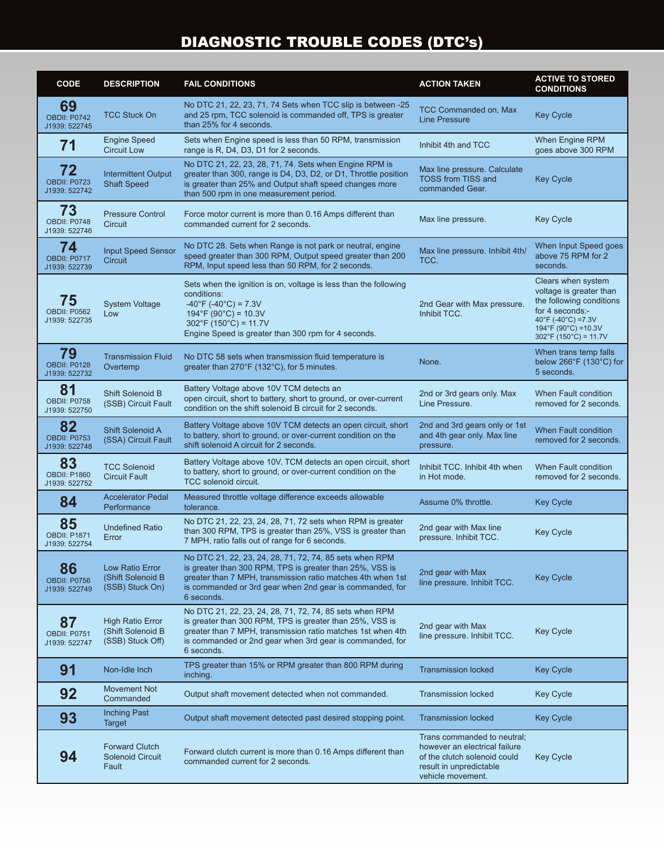## DIAGNOSTIC TROUBLE CODES (DTC's)

| <b>CODE</b>                                | <b>DESCRIPTION</b>                                               | <b>FAIL CONDITIONS</b>                                                                                                                                                                                                                                             | <b>ACTION TAKEN</b>                                                                                                                          | <b>ACTIVE TO STORED</b><br><b>CONDITIONS</b>                                                                                                                                                                   |
|--------------------------------------------|------------------------------------------------------------------|--------------------------------------------------------------------------------------------------------------------------------------------------------------------------------------------------------------------------------------------------------------------|----------------------------------------------------------------------------------------------------------------------------------------------|----------------------------------------------------------------------------------------------------------------------------------------------------------------------------------------------------------------|
| 69<br>OBDII: P0742<br>J1939: 522745        | <b>TCC Stuck On</b>                                              | No DTC 21, 22, 23, 71, 74 Sets when TCC slip is between -25<br>and 25 rpm, TCC solenoid is commanded off, TPS is greater<br>than 25% for 4 seconds.                                                                                                                | TCC Commanded on, Max<br><b>Line Pressure</b>                                                                                                | <b>Key Cycle</b>                                                                                                                                                                                               |
| 71                                         | <b>Engine Speed</b><br><b>Circuit Low</b>                        | Sets when Engine speed is less than 50 RPM, transmission<br>range is R, D4, D3, D1 for 2 seconds.                                                                                                                                                                  | Inhibit 4th and TCC                                                                                                                          | <b>When Engine RPM</b><br>goes above 300 RPM                                                                                                                                                                   |
| 72<br>OBDII: P0723<br>J1939: 522742        | <b>Intermittent Output</b><br><b>Shaft Speed</b>                 | No DTC 21, 22, 23, 28, 71, 74. Sets when Engine RPM is<br>greater than 300, range is D4, D3, D2, or D1, Throttle position<br>is greater than 25% and Output shaft speed changes more<br>than 500 rpm in one measurement period.                                    | Max line pressure. Calculate<br><b>TOSS from TISS and</b><br>commanded Gear.                                                                 | <b>Key Cycle</b>                                                                                                                                                                                               |
| 73<br>OBDII: P0748<br>J1939: 522746        | <b>Pressure Control</b><br>Circuit                               | Force motor current is more than 0.16 Amps different than<br>commanded current for 2 seconds.                                                                                                                                                                      | Max line pressure.                                                                                                                           | <b>Key Cycle</b>                                                                                                                                                                                               |
| 74<br>OBDII: P0717<br>J1939: 522739        | <b>Input Speed Sensor</b><br>Circuit                             | No DTC 28. Sets when Range is not park or neutral, engine<br>speed greater than 300 RPM, Output speed greater than 200<br>RPM, Input speed less than 50 RPM, for 2 seconds.                                                                                        | Max line pressure. Inhibit 4th/<br>TCC.                                                                                                      | When Input Speed goes<br>above 75 RPM for 2<br>seconds.                                                                                                                                                        |
| 75<br><b>OBDII: P0562</b><br>J1939: 522735 | <b>System Voltage</b><br>Low                                     | Sets when the ignition is on, voltage is less than the following<br>conditions:<br>$-40^{\circ}$ F ( $-40^{\circ}$ C) = 7.3V<br>$194^{\circ}F(90^{\circ}C) = 10.3V$<br>$302^{\circ}F(150^{\circ}C) = 11.7V$<br>Engine Speed is greater than 300 rpm for 4 seconds. | 2nd Gear with Max pressure.<br>Inhibit TCC.                                                                                                  | Clears when system<br>voltage is greater than<br>the following conditions<br>for 4 seconds:-<br>40°F (-40°C) = 7.3V<br>$194^{\circ}$ F (90 $^{\circ}$ C) = 10.3V<br>$302^{\circ}$ F (150 $^{\circ}$ C) = 11.7V |
| 79<br>OBDII: P0128<br>J1939: 522732        | <b>Transmission Fluid</b><br>Overtemp                            | No DTC 58 sets when transmission fluid temperature is<br>greater than 270°F (132°C), for 5 minutes.                                                                                                                                                                | None.                                                                                                                                        | When trans temp falls<br>below 266°F (130°C) for<br>5 seconds.                                                                                                                                                 |
| 81<br>OBDII: P0758<br>J1939: 522750        | Shift Solenoid B<br>(SSB) Circuit Fault                          | Battery Voltage above 10V TCM detects an<br>open circuit, short to battery, short to ground, or over-current<br>condition on the shift solenoid B circuit for 2 seconds.                                                                                           | 2nd or 3rd gears only. Max<br>Line Pressure.                                                                                                 | When Fault condition<br>removed for 2 seconds.                                                                                                                                                                 |
| 82<br>OBDII: P0753<br>J1939: 522748        | <b>Shift Solenoid A</b><br>(SSA) Circuit Fault                   | Battery Voltage above 10V TCM detects an open circuit, short<br>to battery, short to ground, or over-current condition on the<br>shift solenoid A circuit for 2 seconds.                                                                                           | 2nd and 3rd gears only or 1st<br>and 4th gear only. Max line<br>pressure.                                                                    | When Fault condition<br>removed for 2 seconds.                                                                                                                                                                 |
| 83<br><b>OBDII: P1860</b><br>J1939: 522752 | <b>TCC Solenoid</b><br><b>Circuit Fault</b>                      | Battery Voltage above 10V. TCM detects an open circuit, short<br>to battery, short to ground, or over-current condition on the<br>TCC solenoid circuit.                                                                                                            | Inhibit TCC. Inhibit 4th when<br>in Hot mode.                                                                                                | When Fault condition<br>removed for 2 seconds.                                                                                                                                                                 |
| 84                                         | <b>Accelerator Pedal</b><br>Performance                          | Measured throttle voltage difference exceeds allowable<br>tolerance.                                                                                                                                                                                               | Assume 0% throttle.                                                                                                                          | <b>Key Cycle</b>                                                                                                                                                                                               |
| 85<br><b>OBDII: P1871</b><br>J1939: 522754 | <b>Undefined Ratio</b><br>Error                                  | No DTC 21, 22, 23, 24, 28, 71, 72 sets when RPM is greater<br>than 300 RPM, TPS is greater than 25%, VSS is greater than<br>7 MPH, ratio falls out of range for 6 seconds.                                                                                         | 2nd gear with Max line<br>pressure. Inhibit TCC.                                                                                             | Key Cycle                                                                                                                                                                                                      |
| 86<br>OBDII: P0756<br>J1939: 522749        | Low Ratio Error<br>(Shift Solenoid B<br>(SSB) Stuck On)          | No DTC 21, 22, 23, 24, 28, 71, 72, 74, 85 sets when RPM<br>is greater than 300 RPM, TPS is greater than 25%, VSS is<br>greater than 7 MPH, transmission ratio matches 4th when 1st<br>is commanded or 3rd gear when 2nd gear is commanded, for<br>6 seconds.       | 2nd gear with Max<br>line pressure. Inhibit TCC.                                                                                             | <b>Key Cycle</b>                                                                                                                                                                                               |
| 87<br>OBDII: P0751<br>J1939: 522747        | <b>High Ratio Error</b><br>(Shift Solenoid B<br>(SSB) Stuck Off) | No DTC 21, 22, 23, 24, 28, 71, 72, 74, 85 sets when RPM<br>is greater than 300 RPM, TPS is greater than 25%, VSS is<br>greater than 7 MPH, transmission ratio matches 1st when 4th<br>is commanded or 2nd gear when 3rd gear is commanded, for<br>6 seconds.       | 2nd gear with Max<br>line pressure. Inhibit TCC.                                                                                             | <b>Key Cycle</b>                                                                                                                                                                                               |
| 91                                         | Non-Idle Inch                                                    | TPS greater than 15% or RPM greater than 800 RPM during<br>inching.                                                                                                                                                                                                | <b>Transmission locked</b>                                                                                                                   | <b>Key Cycle</b>                                                                                                                                                                                               |
| 92                                         | Movement Not<br>Commanded                                        | Output shaft movement detected when not commanded.                                                                                                                                                                                                                 | <b>Transmission locked</b>                                                                                                                   | <b>Key Cycle</b>                                                                                                                                                                                               |
| 93                                         | <b>Inching Past</b><br><b>Target</b>                             | Output shaft movement detected past desired stopping point.                                                                                                                                                                                                        | <b>Transmission locked</b>                                                                                                                   | <b>Key Cycle</b>                                                                                                                                                                                               |
| 94                                         | <b>Forward Clutch</b><br><b>Solenoid Circuit</b><br>Fault        | Forward clutch current is more than 0.16 Amps different than<br>commanded current for 2 seconds.                                                                                                                                                                   | Trans commanded to neutral;<br>however an electrical failure<br>of the clutch solenoid could<br>result in unpredictable<br>vehicle movement. | <b>Key Cycle</b>                                                                                                                                                                                               |